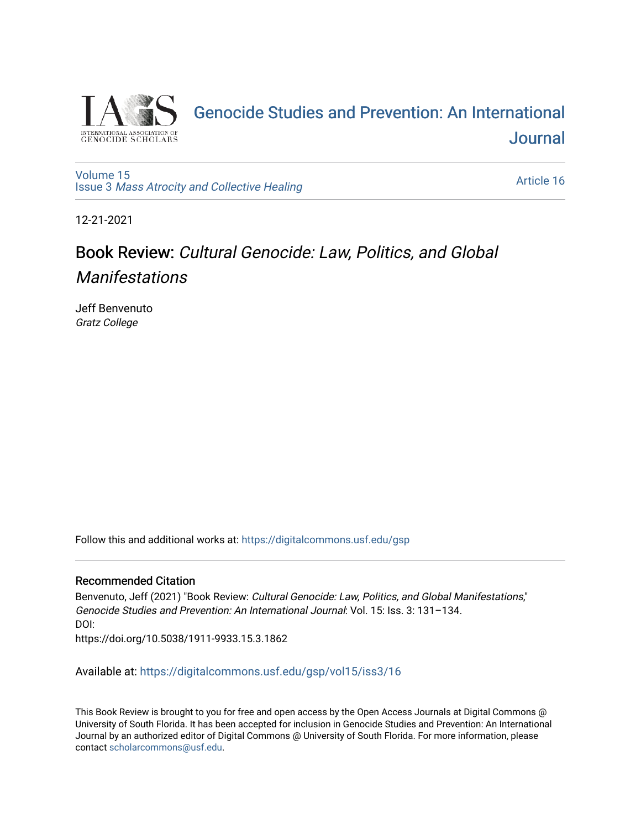

## [Genocide Studies and Prevention: An International](https://digitalcommons.usf.edu/gsp)  **Journal**

[Volume 15](https://digitalcommons.usf.edu/gsp/vol15) Issue 3 [Mass Atrocity and Collective Healing](https://digitalcommons.usf.edu/gsp/vol15/iss3) 

[Article 16](https://digitalcommons.usf.edu/gsp/vol15/iss3/16) 

12-21-2021

## Book Review: Cultural Genocide: Law, Politics, and Global Manifestations

Jeff Benvenuto Gratz College

Follow this and additional works at: [https://digitalcommons.usf.edu/gsp](https://digitalcommons.usf.edu/gsp?utm_source=digitalcommons.usf.edu%2Fgsp%2Fvol15%2Fiss3%2F16&utm_medium=PDF&utm_campaign=PDFCoverPages) 

## Recommended Citation

Benvenuto, Jeff (2021) "Book Review: Cultural Genocide: Law, Politics, and Global Manifestations," Genocide Studies and Prevention: An International Journal: Vol. 15: Iss. 3: 131–134. DOI: https://doi.org/10.5038/1911-9933.15.3.1862

Available at: [https://digitalcommons.usf.edu/gsp/vol15/iss3/16](https://digitalcommons.usf.edu/gsp/vol15/iss3/16?utm_source=digitalcommons.usf.edu%2Fgsp%2Fvol15%2Fiss3%2F16&utm_medium=PDF&utm_campaign=PDFCoverPages)

This Book Review is brought to you for free and open access by the Open Access Journals at Digital Commons @ University of South Florida. It has been accepted for inclusion in Genocide Studies and Prevention: An International Journal by an authorized editor of Digital Commons @ University of South Florida. For more information, please contact [scholarcommons@usf.edu](mailto:scholarcommons@usf.edu).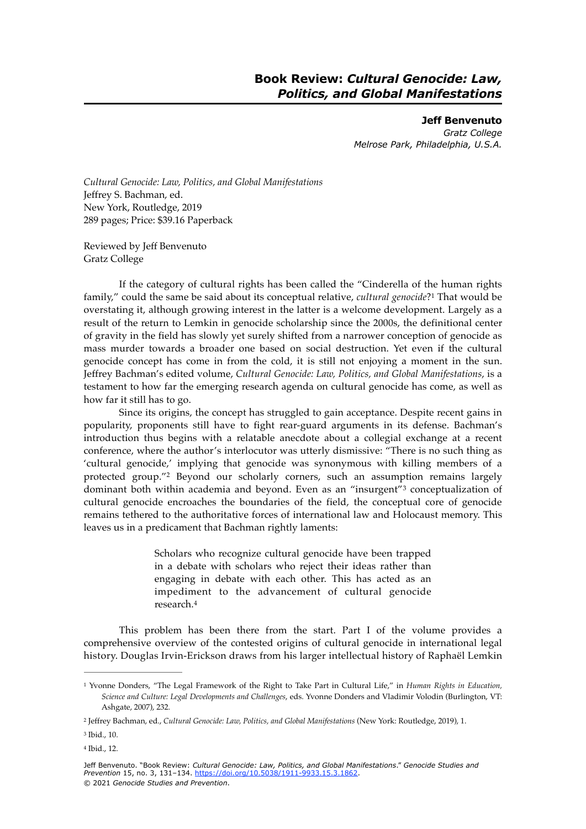<span id="page-1-4"></span>**Jeff Benvenuto** *Gratz College Melrose Park, Philadelphia, U.S.A.*

*Cultural Genocide: Law, Politics, and Global Manifestations* Jeffrey S. Bachman, ed. New York, Routledge, 2019 289 pages; Price: \$39.16 Paperback

Reviewed by Jeff Benvenuto Gratz College

If the category of cultural rights has been called the "Cinderella of the human rights family," could the same be said about its conceptual relative, *cultural genocide*?<sup>[1](#page-1-0)</sup> That would be overstating it, although growing interest in the latter is a welcome development. Largely as a result of the return to Lemkin in genocide scholarship since the 2000s, the definitional center of gravity in the field has slowly yet surely shifted from a narrower conception of genocide as mass murder towards a broader one based on social destruction. Yet even if the cultural genocide concept has come in from the cold, it is still not enjoying a moment in the sun. Jeffrey Bachman's edited volume, *Cultural Genocide: Law, Politics, and Global Manifestations*, is a testament to how far the emerging research agenda on cultural genocide has come, as well as how far it still has to go.

Since its origins, the concept has struggled to gain acceptance. Despite recent gains in popularity, proponents still have to fight rear-guard arguments in its defense. Bachman's introduction thus begins with a relatable anecdote about a collegial exchange at a recent conference, where the author's interlocutor was utterly dismissive: "There is no such thing as 'cultural genocide,' implying that genocide was synonymous with killing members of a protected group."<sup>[2](#page-1-1)</sup> Beyond our scholarly corners, such an assumption remains largely dominant both within academia and beyond. Even as an "insurgent"<sup>[3](#page-1-2)</sup> conceptualization of cultural genocide encroaches the boundaries of the field, the conceptual core of genocide remains tethered to the authoritative forces of international law and Holocaust memory. This leaves us in a predicament that Bachman rightly laments:

> <span id="page-1-7"></span><span id="page-1-6"></span><span id="page-1-5"></span>Scholars who recognize cultural genocide have been trapped in a debate with scholars who reject their ideas rather than engaging in debate with each other. This has acted as an impediment to the advancement of cultural genocide research.[4](#page-1-3)

This problem has been there from the start. Part I of the volume provides a comprehensive overview of the contested origins of cultural genocide in international legal history. Douglas Irvin-Erickson draws from his larger intellectual history of Raphaël Lemkin

<span id="page-1-0"></span>Yvonne Donders, "The Legal Framework of the Right to Take Part in Cultural Life," in *Human Rights in Education,* [1](#page-1-4) *Science and Culture: Legal Developments and Challenges*, eds. Yvonne Donders and Vladimir Volodin (Burlington, VT: Ashgate, 2007), 232.

<span id="page-1-1"></span><sup>&</sup>lt;sup>[2](#page-1-5)</sup> Jeffrey Bachman, ed., Cultural Genocide: Law, Politics, and Global Manifestations (New York: Routledge, 2019), 1.

<span id="page-1-2"></span><sup>&</sup>lt;sup>[3](#page-1-6)</sup> Ibid., 10.

<span id="page-1-3"></span><sup>&</sup>lt;sup>[4](#page-1-7)</sup> Ibid., 12.

Jeff Benvenuto. "Book Review: *Cultural Genocide: Law, Politics, and Global Manifestations*." *Genocide Studies and Prevention* 15, no. 3, 131–134.<https://doi.org/10.5038/1911-9933.15.3.1862>. © 2021 *Genocide Studies and Prevention*.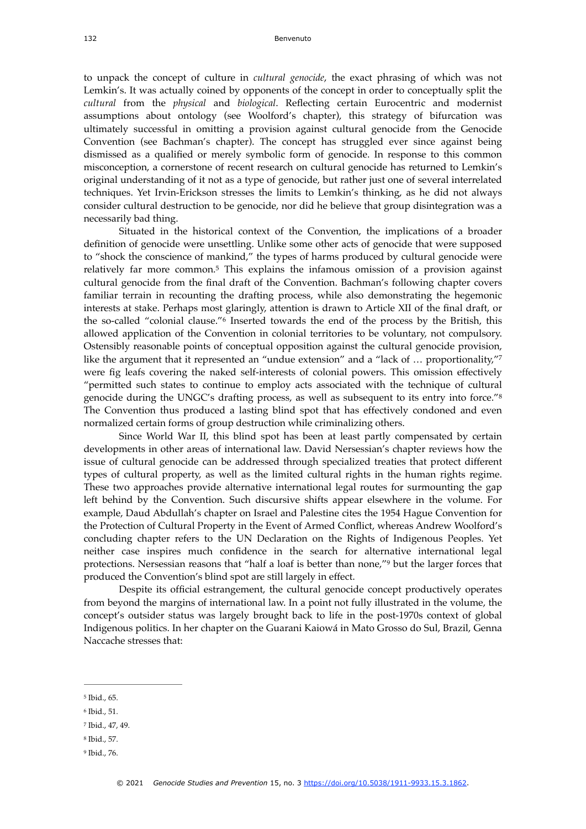to unpack the concept of culture in *cultural genocide*, the exact phrasing of which was not Lemkin's. It was actually coined by opponents of the concept in order to conceptually split the *cultural* from the *physical* and *biological*. Reflecting certain Eurocentric and modernist assumptions about ontology (see Woolford's chapter), this strategy of bifurcation was ultimately successful in omitting a provision against cultural genocide from the Genocide Convention (see Bachman's chapter). The concept has struggled ever since against being dismissed as a qualified or merely symbolic form of genocide. In response to this common misconception, a cornerstone of recent research on cultural genocide has returned to Lemkin's original understanding of it not as a type of genocide, but rather just one of several interrelated techniques. Yet Irvin-Erickson stresses the limits to Lemkin's thinking, as he did not always consider cultural destruction to be genocide, nor did he believe that group disintegration was a necessarily bad thing.

<span id="page-2-6"></span><span id="page-2-5"></span>Situated in the historical context of the Convention, the implications of a broader definition of genocide were unsettling. Unlike some other acts of genocide that were supposed to "shock the conscience of mankind," the types of harms produced by cultural genocide were relatively far more common.<sup>[5](#page-2-0)</sup> This explains the infamous omission of a provision against cultural genocide from the final draft of the Convention. Bachman's following chapter covers familiar terrain in recounting the drafting process, while also demonstrating the hegemonic interests at stake. Perhaps most glaringly, attention is drawn to Article XII of the final draft, or the so-called "colonial clause."<sup>[6](#page-2-1)</sup> Inserted towards the end of the process by the British, this allowed application of the Convention in colonial territories to be voluntary, not compulsory. Ostensibly reasonable points of conceptual opposition against the cultural genocide provision, like the argument that it represented an "undue extension" and a "lack of ... proportionality,"<sup>[7](#page-2-2)</sup> were fig leafs covering the naked self-interests of colonial powers. This omission effectively "permitted such states to continue to employ acts associated with the technique of cultural genocide during the UNGC's drafting process, as well as subsequent to its entry into force."[8](#page-2-3) The Convention thus produced a lasting blind spot that has effectively condoned and even normalized certain forms of group destruction while criminalizing others.

<span id="page-2-8"></span><span id="page-2-7"></span>Since World War II, this blind spot has been at least partly compensated by certain developments in other areas of international law. David Nersessian's chapter reviews how the issue of cultural genocide can be addressed through specialized treaties that protect different types of cultural property, as well as the limited cultural rights in the human rights regime. These two approaches provide alternative international legal routes for surmounting the gap left behind by the Convention. Such discursive shifts appear elsewhere in the volume. For example, Daud Abdullah's chapter on Israel and Palestine cites the 1954 Hague Convention for the Protection of Cultural Property in the Event of Armed Conflict, whereas Andrew Woolford's concluding chapter refers to the UN Declaration on the Rights of Indigenous Peoples. Yet neither case inspires much confidence in the search for alternative international legal protections. Nersessian reasons that ["](#page-2-4)half a loaf is better than none,"<sup>[9](#page-2-4)</sup> but the larger forces that produced the Convention's blind spot are still largely in effect.

<span id="page-2-9"></span>Despite its official estrangement, the cultural genocide concept productively operates from beyond the margins of international law. In a point not fully illustrated in the volume, the concept's outsider status was largely brought back to life in the post-1970s context of global Indigenous politics. In her chapter on the Guarani Kaiowá in Mato Grosso do Sul, Brazil, Genna Naccache stresses that:

- <span id="page-2-0"></span> $5$  Ibid., 65.
- <span id="page-2-1"></span> $6$  Ibid., 51.
- <span id="page-2-2"></span><sup>[7](#page-2-7)</sup> Ibid., 47, 49.
- <span id="page-2-3"></span><sup>[8](#page-2-8)</sup> Ibid., 57.
- <span id="page-2-4"></span><sup>[9](#page-2-9)</sup> Ibid., 76.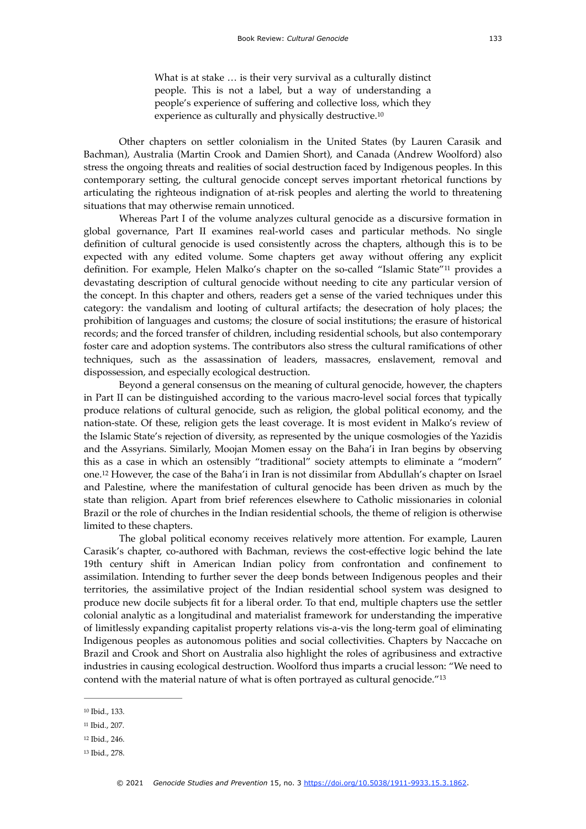<span id="page-3-5"></span><span id="page-3-4"></span>What is at stake … is their very survival as a culturally distinct people. This is not a label, but a way of understanding a people's experience of suffering and collective loss, which they experience as culturally and physically destructive[.10](#page-3-0)

Other chapters on settler colonialism in the United States (by Lauren Carasik and Bachman), Australia (Martin Crook and Damien Short), and Canada (Andrew Woolford) also stress the ongoing threats and realities of social destruction faced by Indigenous peoples. In this contemporary setting, the cultural genocide concept serves important rhetorical functions by articulating the righteous indignation of at-risk peoples and alerting the world to threatening situations that may otherwise remain unnoticed.

Whereas Part I of the volume analyzes cultural genocide as a discursive formation in global governance, Part II examines real-world cases and particular methods. No single definition of cultural genocide is used consistently across the chapters, although this is to be expected with any edited volume. Some chapters get away without offering any explicit definition. For example, Helen Malko's chapter on the so-called "Islamic State"<sup>[11](#page-3-1)</sup> provides a devastating description of cultural genocide without needing to cite any particular version of the concept. In this chapter and others, readers get a sense of the varied techniques under this category: the vandalism and looting of cultural artifacts; the desecration of holy places; the prohibition of languages and customs; the closure of social institutions; the erasure of historical records; and the forced transfer of children, including residential schools, but also contemporary foster care and adoption systems. The contributors also stress the cultural ramifications of other techniques, such as the assassination of leaders, massacres, enslavement, removal and dispossession, and especially ecological destruction.

Beyond a general consensus on the meaning of cultural genocide, however, the chapters in Part II can be distinguished according to the various macro-level social forces that typically produce relations of cultural genocide, such as religion, the global political economy, and the nation-state. Of these, religion gets the least coverage. It is most evident in Malko's review of the Islamic State's rejection of diversity, as represented by the unique cosmologies of the Yazidis and the Assyrians. Similarly, Moojan Momen essay on the Baha'i in Iran begins by observing this as a case in which an ostensibly "traditional" society attempts to eliminate a "modern" one.<sup>[12](#page-3-2)</sup> However, the case of the Baha'i in Iran is not dissimilar from Abdullah's chapter on Israel and Palestine, where the manifestation of cultural genocide has been driven as much by the state than religion. Apart from brief references elsewhere to Catholic missionaries in colonial Brazil or the role of churches in the Indian residential schools, the theme of religion is otherwise limited to these chapters.

<span id="page-3-6"></span>The global political economy receives relatively more attention. For example, Lauren Carasik's chapter, co-authored with Bachman, reviews the cost-effective logic behind the late 19th century shift in American Indian policy from confrontation and confinement to assimilation. Intending to further sever the deep bonds between Indigenous peoples and their territories, the assimilative project of the Indian residential school system was designed to produce new docile subjects fit for a liberal order. To that end, multiple chapters use the settler colonial analytic as a longitudinal and materialist framework for understanding the imperative of limitlessly expanding capitalist property relations vis-a-vis the long-term goal of eliminating Indigenous peoples as autonomous polities and social collectivities. Chapters by Naccache on Brazil and Crook and Short on Australia also highlight the roles of agribusiness and extractive industries in causing ecological destruction. Woolford thus imparts a crucial lesson: "We need to contend with the material nature of what is often portrayed as cultural genocide."[13](#page-3-3)

<span id="page-3-7"></span><span id="page-3-0"></span><sup>&</sup>lt;sup>[10](#page-3-4)</sup> Ibid., 133.

<span id="page-3-1"></span><sup>&</sup>lt;sup>[11](#page-3-5)</sup> Ibid., 207.

<span id="page-3-2"></span><sup>&</sup>lt;sup>[12](#page-3-6)</sup> Ibid., 246.

<span id="page-3-3"></span><sup>&</sup>lt;sup>[13](#page-3-7)</sup> Ibid., 278.